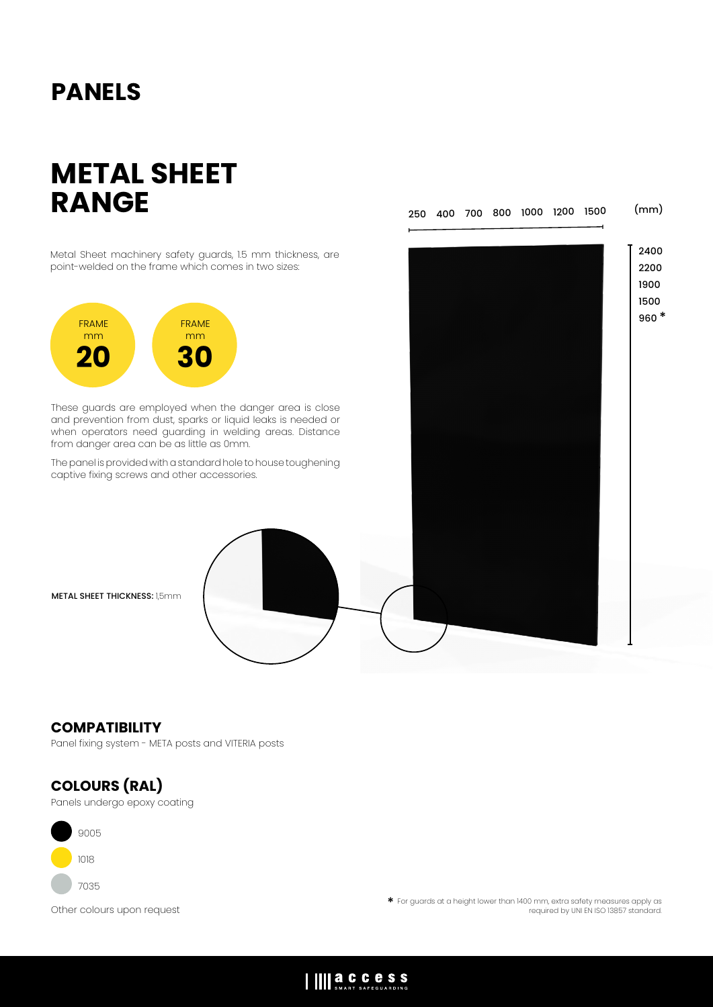# **PANELS**

# **METAL SHEET RANGE**

(mm) 250 400 700 800 1000 1200 1500

Metal Sheet machinery safety guards, 1.5 mm thickness, are point-welded on the frame which comes in two sizes:



These guards are employed when the danger area is close and prevention from dust, sparks or liquid leaks is needed or when operators need guarding in welding areas. Distance from danger area can be as little as 0mm.

The panel is provided with a standard hole to house toughening captive fixing screws and other accessories.

**METAL SHEET THICKNESS: 1,5mm** 

### **COMPATIBILITY**

Panel fixing system - META posts and VITERIA posts

### **COLOURS (RAL)**

Panels undergo epoxy coating



Other colours upon request \* For guards at a height lower than 1400 mm, extra safety measures apply as required by UNI EN ISO 13857 standard.

## IIII **a.C.C.C.S.S.**